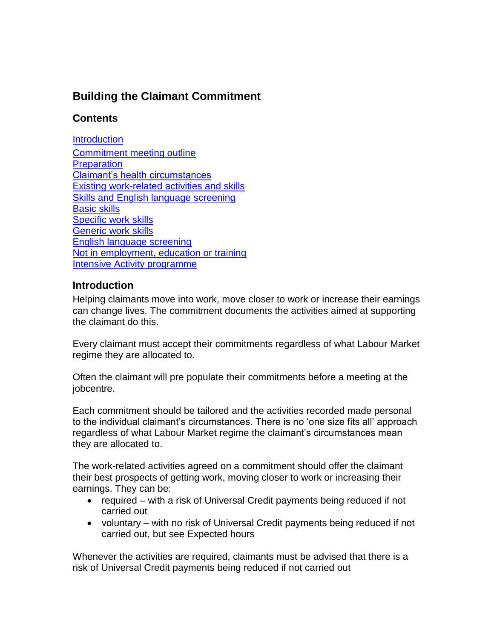# **Building the Claimant Commitment**

## **Contents**

**[Introduction](#page-0-0)** [Commitment meeting outline](#page-1-0) **[Preparation](#page-1-1)** [Claimant's health circumstances](#page-1-2) [Existing work-related activities and skills](#page-2-0) [Skills and English language screening](#page-2-1) [Basic skills](#page-2-2) [Specific work skills](#page-2-3) [Generic work skills](#page-2-4) [English language screening](#page-3-0) [Not in employment, education or training](#page-3-1) [Intensive Activity programme](#page-3-2)

## <span id="page-0-0"></span>**Introduction**

Helping claimants move into work, move closer to work or increase their earnings can change lives. The commitment documents the activities aimed at supporting the claimant do this.

Every claimant must accept their commitments regardless of what Labour Market regime they are allocated to.

Often the claimant will pre populate their commitments before a meeting at the jobcentre.

Each commitment should be tailored and the activities recorded made personal to the individual claimant's circumstances. There is no 'one size fits all' approach regardless of what Labour Market regime the claimant's circumstances mean they are allocated to.

The work-related activities agreed on a commitment should offer the claimant their best prospects of getting work, moving closer to work or increasing their earnings. They can be:

- required with a risk of Universal Credit payments being reduced if not carried out
- voluntary with no risk of Universal Credit payments being reduced if not carried out, but see [Expected hours](../../../../../../UC-DESIGN-&-BUILD/UCDS%20GUIDANCE%20TEAM/Guidance/4.0%20Publishing/Ready%20for%20publishing/Claimant%20Commitment%20Hub%20v1.12splitting.doc#Expectedhours)

Whenever the activities are required, claimants must be advised that there is a risk of Universal Credit payments being reduced if not carried out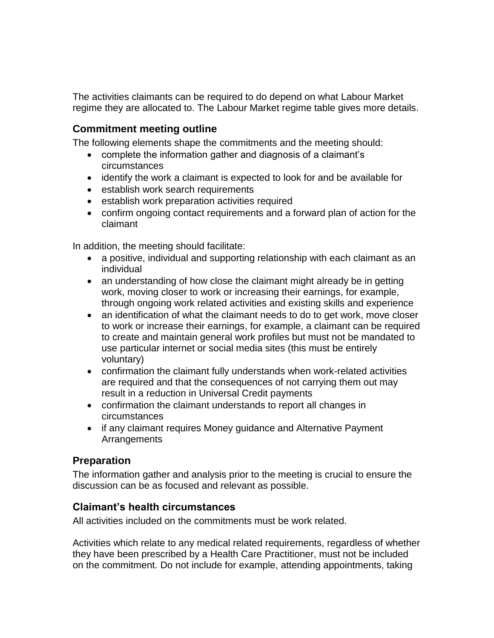The activities claimants can be required to do depend on what Labour Market regime they are allocated to. The Labour Market regime table gives more details.

#### <span id="page-1-0"></span>**Commitment meeting outline**

The following elements shape the commitments and the meeting should:

- complete the information gather and diagnosis of a claimant's circumstances
- identify the work a claimant is expected to look for and be available for
- establish work search requirements
- **•** establish [work preparation activities](../../../../../../UC-DESIGN-&-BUILD/UCDS%20GUIDANCE%20TEAM/Guidance/4.0%20Publishing/Ready%20for%20publishing/Claimant%20Commitment%20Hub%20v1.12splitting.doc#WorkPreparationActivities) required
- confirm ongoing contact requirements and a forward plan of action for the claimant

In addition, the meeting should facilitate:

- a positive, individual and supporting relationship with each claimant as an individual
- an understanding of how close the claimant might already be in getting work, moving closer to work or increasing their earnings, for example, through ongoing work related activities and existing skills and experience
- an identification of what the claimant needs to do to get work, move closer to work or increase their earnings, for example, a claimant can be required to create and maintain general work profiles but must not be mandated to use particular internet or social media sites (this must be entirely voluntary)
- confirmation the claimant fully understands when work-related activities are required and that the consequences of not carrying them out may result in a reduction in Universal Credit payments
- confirmation the claimant understands to report all changes in circumstances
- if any claimant requires Money guidance and Alternative Payment **Arrangements**

#### <span id="page-1-1"></span>**Preparation**

The information gather and analysis prior to the meeting is crucial to ensure the discussion can be as focused and relevant as possible.

#### <span id="page-1-2"></span>**Claimant's health circumstances**

All activities included on the commitments must be work related.

Activities which relate to any medical related requirements, regardless of whether they have been prescribed by a Health Care Practitioner, must not be included on the commitment. Do not include for example, attending appointments, taking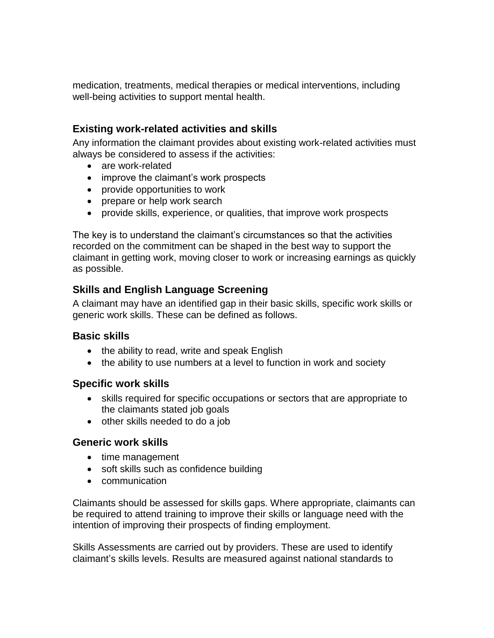medication, treatments, medical therapies or medical interventions, including well-being activities to support mental health.

## <span id="page-2-0"></span>**Existing work-related activities and skills**

Any information the claimant provides about existing work-related activities must always be considered to assess if the activities:

- are work-related
- improve the claimant's work prospects
- provide opportunities to work
- prepare or help work search
- provide skills, experience, or qualities, that improve work prospects

The key is to understand the claimant's circumstances so that the activities recorded on the commitment can be shaped in the best way to support the claimant in getting work, moving closer to work or increasing earnings as quickly as possible.

## <span id="page-2-1"></span>**Skills and English Language Screening**

A claimant may have an identified gap in their basic skills, specific work skills or generic work skills. These can be defined as follows.

## <span id="page-2-2"></span>**Basic skills**

- the ability to read, write and speak English
- the ability to use numbers at a level to function in work and society

#### <span id="page-2-3"></span>**Specific work skills**

- skills required for specific occupations or sectors that are appropriate to the claimants stated job goals
- other skills needed to do a job

## <span id="page-2-4"></span>**Generic work skills**

- time management
- soft skills such as confidence building
- communication

Claimants should be assessed for skills gaps. Where appropriate, claimants can be required to attend training to improve their skills or language need with the intention of improving their prospects of finding employment.

Skills Assessments are carried out by providers. These are used to identify claimant's skills levels. Results are measured against national standards to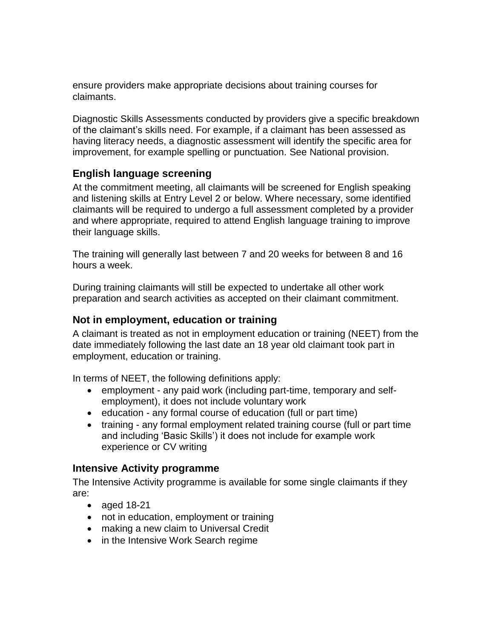ensure providers make appropriate decisions about training courses for claimants.

Diagnostic Skills Assessments conducted by providers give a specific breakdown of the claimant's skills need. For example, if a claimant has been assessed as having literacy needs, a diagnostic assessment will identify the specific area for improvement, for example spelling or punctuation. See National provision.

#### <span id="page-3-0"></span>**English language screening**

At the commitment meeting, all claimants will be screened for English speaking and listening skills at Entry Level 2 or below. Where necessary, some identified claimants will be required to undergo a full assessment completed by a provider and where appropriate, required to attend English language training to improve their language skills.

The training will generally last between 7 and 20 weeks for between 8 and 16 hours a week.

During training claimants will still be expected to undertake all other work preparation and search activities as accepted on their claimant commitment.

#### <span id="page-3-1"></span>**Not in employment, education or training**

A claimant is treated as not in employment education or training (NEET) from the date immediately following the last date an 18 year old claimant took part in employment, education or training.

In terms of NEET, the following definitions apply:

- employment any paid work (including part-time, temporary and selfemployment), it does not include voluntary work
- education any formal course of education (full or part time)
- training any formal employment related training course (full or part time and including 'Basic Skills') it does not include for example work experience or CV writing

## <span id="page-3-2"></span>**Intensive Activity programme**

The Intensive Activity programme is available for some single claimants if they are:

- aged 18-21
- not in education, employment or training
- making a new claim to Universal Credit
- in the Intensive Work Search regime